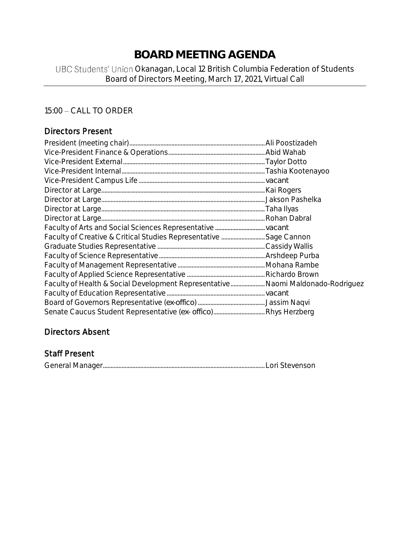## **BOARD MEETING AGENDA**

## UBC Students' Union Okanagan, Local 12 British Columbia Federation of Students Board of Directors Meeting, March 17, 2021, Virtual Call

## 15:00 - CALL TO ORDER

## Directors Present

| Faculty of Creative & Critical Studies Representative  Sage Cannon              |  |
|---------------------------------------------------------------------------------|--|
|                                                                                 |  |
|                                                                                 |  |
|                                                                                 |  |
|                                                                                 |  |
| Faculty of Health & Social Development Representative Naomi Maldonado-Rodriguez |  |
|                                                                                 |  |
|                                                                                 |  |
|                                                                                 |  |

## Directors Absent

## Staff Present

|--|--|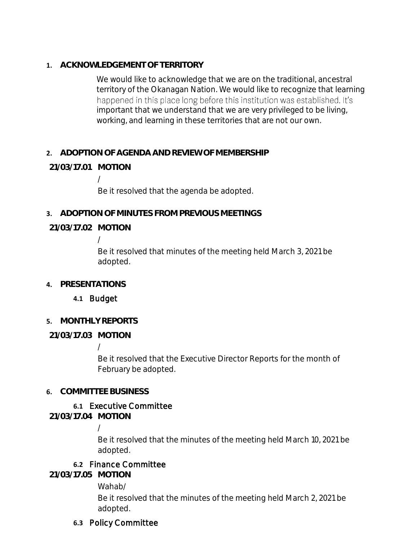**1. ACKNOWLEDGEMENT OF TERRITORY**

We would like to acknowledge that we are on the traditional, ancestral territory of the Okanagan Nation. We would like to recognize that learning happened in this place long before this institution was established. It's important that we understand that we are very privileged to be living, working, and learning in these territories that are not our own.

## **2. ADOPTION OF AGENDA AND REVIEW OF MEMBERSHIP**

## **21/03/17.01 MOTION**

/

Be it resolved that the agenda be adopted.

**3. ADOPTION OF MINUTES FROM PREVIOUS MEETINGS**

## **21/03/17.02 MOTION**

/

Be it resolved that minutes of the meeting held March 3, 2021 be adopted.

**4. PRESENTATIONS**

## **4.1** Budget

## **5. MONTHLY REPORTS**

## **21/03/17.03 MOTION**

/

Be it resolved that the Executive Director Reports for the month of February be adopted.

## **6. COMMITTEE BUSINESS**

## **6.1** Executive Committee

**21/03/17.04 MOTION**

/

Be it resolved that the minutes of the meeting held March 10, 2021 be adopted.

## **6.2** Finance Committee

**21/03/17.05 MOTION**

Wahab/

Be it resolved that the minutes of the meeting held March 2, 2021 be adopted.

## **6.3** Policy Committee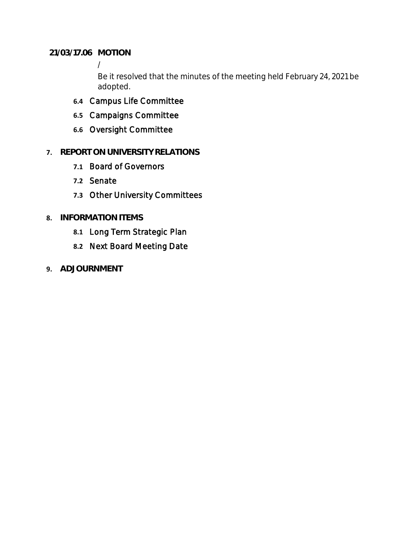**21/03/17.06 MOTION**

/

Be it resolved that the minutes of the meeting held February 24, 2021 be adopted.

- **6.4** Campus Life Committee
- **6.5** Campaigns Committee
- **6.6** Oversight Committee

## **7. REPORT ON UNIVERSITY RELATIONS**

- **7.1** Board of Governors
- **7.2** Senate
- **7.3** Other University Committees

## **8. INFORMATION ITEMS**

- **8.1** Long Term Strategic Plan
- **8.2** Next Board Meeting Date
- **9. ADJOURNMENT**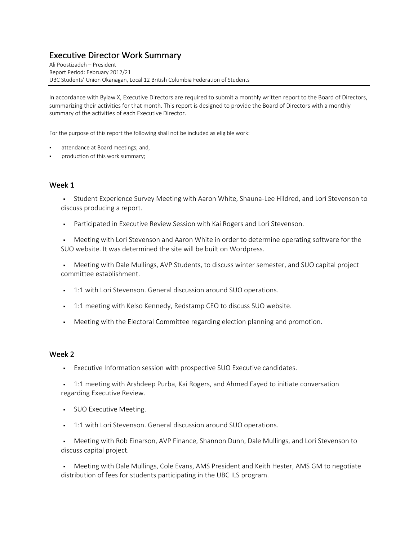# Executive Director Work Summary Ali Poostizadeh – President

Report Period: February 2012/21 UBC Students' Union Okanagan, Local 12 British Columbia Federation of Students

In accordance with Bylaw X, Executive Directors are required to submit a monthly written report to the Board of Directors, summarizing their activities for that month. This report is designed to provide the Board of Directors with a monthly summary of the activities of each Executive Director.

For the purpose of this report the following shall not be included as eligible work:

- attendance at Board meetings; and,
- production of this work summary;

#### Week 1

§ Student Experience Survey Meeting with Aaron White, Shauna-Lee Hildred, and Lori Stevenson to discuss producing a report.

• Participated in Executive Review Session with Kai Rogers and Lori Stevenson.

• Meeting with Lori Stevenson and Aaron White in order to determine operating software for the SUO website. It was determined the site will be built on Wordpress.

• Meeting with Dale Mullings, AVP Students, to discuss winter semester, and SUO capital project committee establishment.

- 1:1 with Lori Stevenson. General discussion around SUO operations.
- § 1:1 meeting with Kelso Kennedy, Redstamp CEO to discuss SUO website.
- Meeting with the Electoral Committee regarding election planning and promotion.

#### Week 2

- § Executive Information session with prospective SUO Executive candidates.
- § 1:1 meeting with Arshdeep Purba, Kai Rogers, and Ahmed Fayed to initiate conversation regarding Executive Review.
- § SUO Executive Meeting.
- **•** 1:1 with Lori Stevenson. General discussion around SUO operations.

• Meeting with Rob Einarson, AVP Finance, Shannon Dunn, Dale Mullings, and Lori Stevenson to discuss capital project.

• Meeting with Dale Mullings, Cole Evans, AMS President and Keith Hester, AMS GM to negotiate distribution of fees for students participating in the UBC ILS program.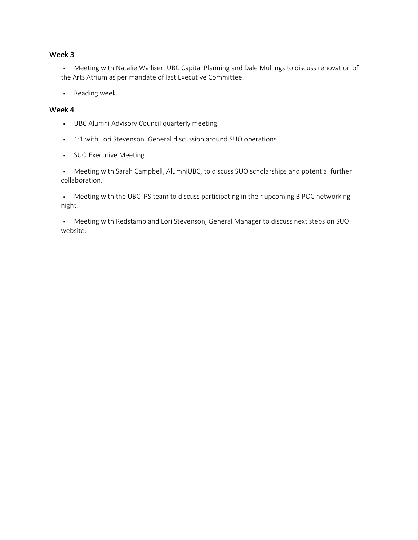#### Week 3

§ Meeting with Natalie Walliser, UBC Capital Planning and Dale Mullings to discuss renovation of the Arts Atrium as per mandate of last Executive Committee.

§ Reading week.

#### Week 4

- § UBC Alumni Advisory Council quarterly meeting.
- § 1:1 with Lori Stevenson. General discussion around SUO operations.
- § SUO Executive Meeting.

• Meeting with Sarah Campbell, AlumniUBC, to discuss SUO scholarships and potential further collaboration.

• Meeting with the UBC IPS team to discuss participating in their upcoming BIPOC networking night.

• Meeting with Redstamp and Lori Stevenson, General Manager to discuss next steps on SUO website.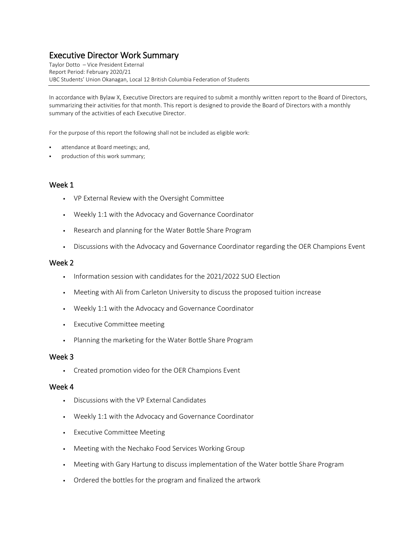## Executive Director Work Summary

Taylor Dotto – Vice President External Report Period: February 2020/21 UBC Students' Union Okanagan, Local 12 British Columbia Federation of Students

In accordance with Bylaw X, Executive Directors are required to submit a monthly written report to the Board of Directors, summarizing their activities for that month. This report is designed to provide the Board of Directors with a monthly summary of the activities of each Executive Director.

For the purpose of this report the following shall not be included as eligible work:

- attendance at Board meetings; and,
- production of this work summary;

#### Week 1

- VP External Review with the Oversight Committee
- Weekly 1:1 with the Advocacy and Governance Coordinator
- Research and planning for the Water Bottle Share Program
- Discussions with the Advocacy and Governance Coordinator regarding the OER Champions Event

#### Week 2

- **·** Information session with candidates for the 2021/2022 SUO Election
- Meeting with Ali from Carleton University to discuss the proposed tuition increase
- Weekly 1:1 with the Advocacy and Governance Coordinator
- Executive Committee meeting
- Planning the marketing for the Water Bottle Share Program

#### Week 3

▪ Created promotion video for the OER Champions Event

#### Week 4

- Discussions with the VP External Candidates
- Weekly 1:1 with the Advocacy and Governance Coordinator
- Executive Committee Meeting
- Meeting with the Nechako Food Services Working Group
- Meeting with Gary Hartung to discuss implementation of the Water bottle Share Program
- Ordered the bottles for the program and finalized the artwork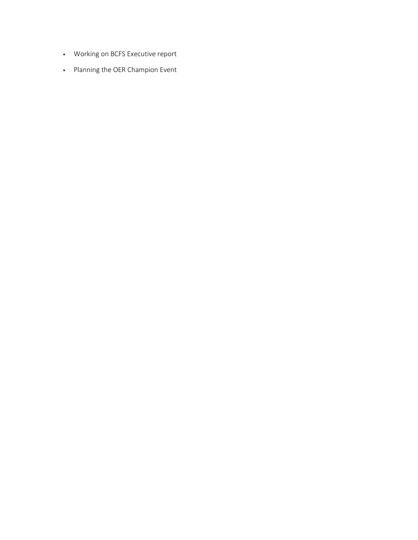- Working on BCFS Executive report
- Planning the OER Champion Event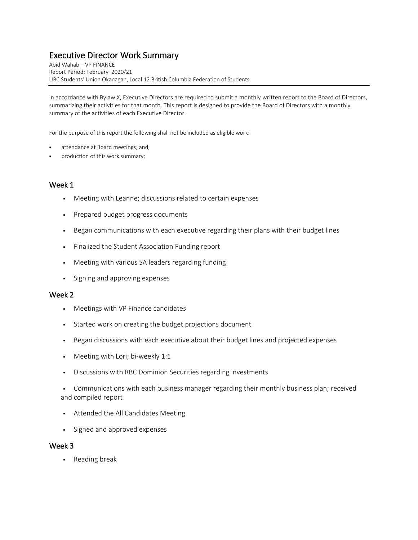## Executive Director Work Summary

Abid Wahab – VP FINANCE Report Period: February 2020/21 UBC Students' Union Okanagan, Local 12 British Columbia Federation of Students

In accordance with Bylaw X, Executive Directors are required to submit a monthly written report to the Board of Directors, summarizing their activities for that month. This report is designed to provide the Board of Directors with a monthly summary of the activities of each Executive Director.

For the purpose of this report the following shall not be included as eligible work:

- attendance at Board meetings; and,
- production of this work summary;

#### Week 1

- Meeting with Leanne; discussions related to certain expenses
- Prepared budget progress documents
- **•** Began communications with each executive regarding their plans with their budget lines
- Finalized the Student Association Funding report
- Meeting with various SA leaders regarding funding
- Signing and approving expenses

#### Week 2

- Meetings with VP Finance candidates
- Started work on creating the budget projections document
- Began discussions with each executive about their budget lines and projected expenses
- Meeting with Lori; bi-weekly 1:1
- Discussions with RBC Dominion Securities regarding investments
- Communications with each business manager regarding their monthly business plan; received and compiled report
- Attended the All Candidates Meeting
- Signed and approved expenses

#### Week 3

• Reading break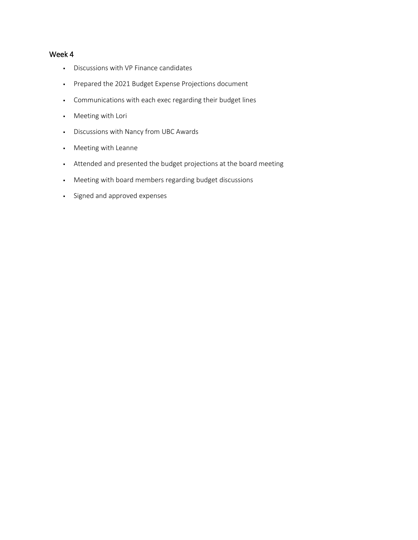### Week 4

- Discussions with VP Finance candidates
- Prepared the 2021 Budget Expense Projections document
- Communications with each exec regarding their budget lines
- Meeting with Lori
- Discussions with Nancy from UBC Awards
- Meeting with Leanne
- Attended and presented the budget projections at the board meeting
- Meeting with board members regarding budget discussions
- Signed and approved expenses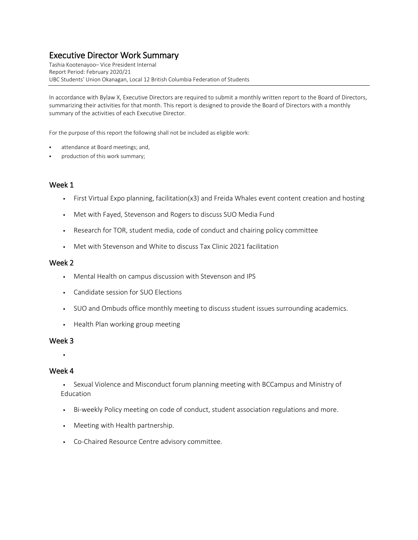## Executive Director Work Summary

Tashia Kootenayoo– Vice President Internal Report Period: February 2020/21 UBC Students' Union Okanagan, Local 12 British Columbia Federation of Students

In accordance with Bylaw X, Executive Directors are required to submit a monthly written report to the Board of Directors, summarizing their activities for that month. This report is designed to provide the Board of Directors with a monthly summary of the activities of each Executive Director.

For the purpose of this report the following shall not be included as eligible work:

- attendance at Board meetings; and,
- production of this work summary;

#### Week 1

- First Virtual Expo planning, facilitation(x3) and Freida Whales event content creation and hosting
- Met with Fayed, Stevenson and Rogers to discuss SUO Media Fund
- Research for TOR, student media, code of conduct and chairing policy committee
- Met with Stevenson and White to discuss Tax Clinic 2021 facilitation

#### Week 2

- Mental Health on campus discussion with Stevenson and IPS
- Candidate session for SUO Elections
- SUO and Ombuds office monthly meeting to discuss student issues surrounding academics.
- **•** Health Plan working group meeting

#### Week 3

▪

#### Week 4

- Sexual Violence and Misconduct forum planning meeting with BCCampus and Ministry of Education
- Bi-weekly Policy meeting on code of conduct, student association regulations and more.
- Meeting with Health partnership.
- Co-Chaired Resource Centre advisory committee.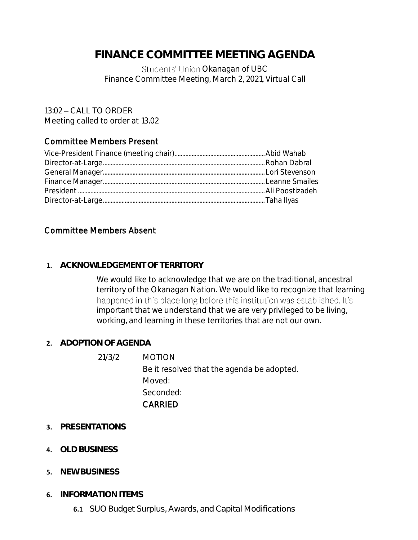## **FINANCE COMMITTEE MEETING AGENDA**

Students' Union Okanagan of UBC Finance Committee Meeting, March 2, 2021, Virtual Call

13:02 - CALL TO ORDER Meeting called to order at 13.02

## Committee Members Present

## Committee Members Absent

### **1. ACKNOWLEDGEMENT OF TERRITORY**

We would like to acknowledge that we are on the traditional, ancestral territory of the Okanagan Nation. We would like to recognize that learning happened in this place long before this institution was established. It's important that we understand that we are very privileged to be living, working, and learning in these territories that are not our own.

## **2. ADOPTION OF AGENDA**

21/3/2 MOTION Be it resolved that the agenda be adopted. Moved: Seconded: CARRIED

- **3. PRESENTATIONS**
- **4. OLD BUSINESS**
- **5. NEW BUSINESS**
- **6. INFORMATION ITEMS**
	- **6.1** SUO Budget Surplus, Awards, and Capital Modifications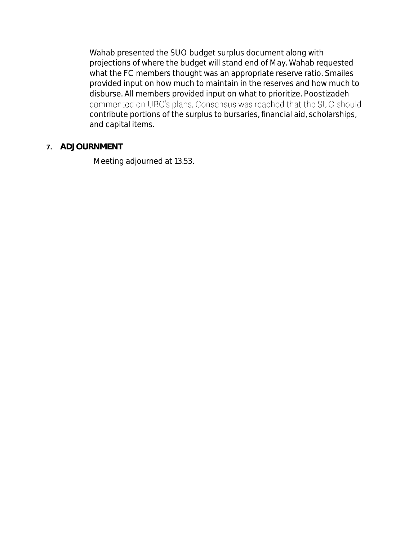Wahab presented the SUO budget surplus document along with projections of where the budget will stand end of May. Wahab requested what the FC members thought was an appropriate reserve ratio. Smailes provided input on how much to maintain in the reserves and how much to disburse. All members provided input on what to prioritize. Poostizadeh commented on UBC's plans. Consensus was reached that the SUO should contribute portions of the surplus to bursaries, financial aid, scholarships, and capital items.

## **7. ADJOURNMENT**

Meeting adjourned at 13.53.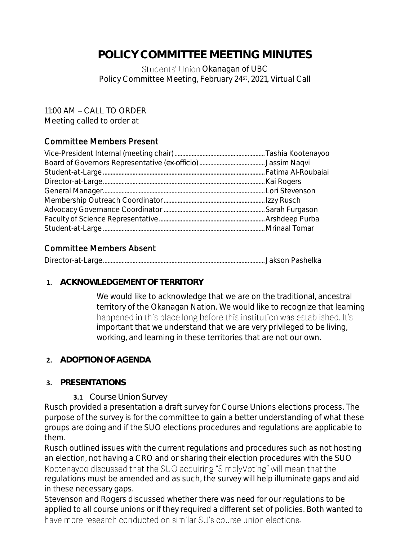## **POLICY COMMITTEE MEETING MINUTES**

Students' Union Okanagan of UBC Policy Committee Meeting, February 24<sup>st</sup>, 2021, Virtual Call

## $11:00$  AM  $-$  CALL TO ORDER

Meeting called to order at

## Committee Members Present

## Committee Members Absent

|--|--|--|

## **1. ACKNOWLEDGEMENT OF TERRITORY**

We would like to acknowledge that we are on the traditional, ancestral territory of the Okanagan Nation. We would like to recognize that learning happened in this place long before this institution was established. It's important that we understand that we are very privileged to be living, working, and learning in these territories that are not our own.

## **2. ADOPTION OF AGENDA**

## **3. PRESENTATIONS**

**3.1** Course Union Survey

Rusch provided a presentation a draft survey for Course Unions elections process. The purpose of the survey is for the committee to gain a better understanding of what these groups are doing and if the SUO elections procedures and regulations are applicable to them.

Rusch outlined issues with the current regulations and procedures such as not hosting an election, not having a CRO and or sharing their election procedures with the SUO Kootenayoo discussed that the SUO acquiring "SimplyVoting" will mean that the regulations must be amended and as such, the survey will help illuminate gaps and aid in these necessary gaps.

Stevenson and Rogers discussed whether there was need for our regulations to be applied to all course unions or if they required a different set of policies. Both wanted to have more research conducted on similar SU's course union elections.